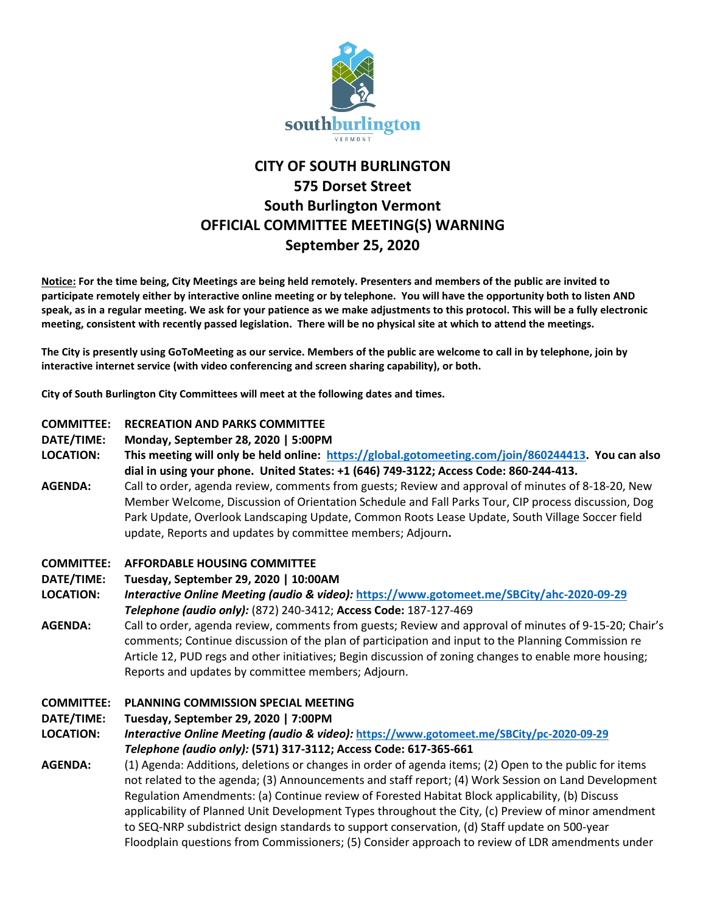

# **CITY OF SOUTH BURLINGTON 575 Dorset Street South Burlington Vermont OFFICIAL COMMITTEE MEETING(S) WARNING September 25, 2020**

**Notice: For the time being, City Meetings are being held remotely. Presenters and members of the public are invited to participate remotely either by interactive online meeting or by telephone. You will have the opportunity both to listen AND speak, as in a regular meeting. We ask for your patience as we make adjustments to this protocol. This will be a fully electronic meeting, consistent with recently passed legislation. There will be no physical site at which to attend the meetings.** 

**The City is presently using GoToMeeting as our service. Members of the public are welcome to call in by telephone, join by interactive internet service (with video conferencing and screen sharing capability), or both.**

**City of South Burlington City Committees will meet at the following dates and times.** 

# **COMMITTEE: RECREATION AND PARKS COMMITTEE**

**DATE/TIME: Monday, September 28, 2020 | 5:00PM**

**LOCATION: This meeting will only be held online: [https://global.gotomeeting.com/join/860244413.](https://global.gotomeeting.com/join/860244413) You can also dial in using your phone. United States: +1 (646) 749-3122; Access Code: 860-244-413.**

**AGENDA:** Call to order, agenda review, comments from guests; Review and approval of minutes of 8-18-20, New Member Welcome, Discussion of Orientation Schedule and Fall Parks Tour, CIP process discussion, Dog Park Update, Overlook Landscaping Update, Common Roots Lease Update, South Village Soccer field update, Reports and updates by committee members; Adjourn**.**

#### **COMMITTEE: AFFORDABLE HOUSING COMMITTEE**

## **DATE/TIME: Tuesday, September 29, 2020 | 10:00AM**

**LOCATION:** *Interactive Online Meeting (audio & video):* **<https://www.gotomeet.me/SBCity/ahc-2020-09-29>** *Telephone (audio only):* (872) 240-3412; **Access Code:** 187-127-469

**AGENDA:** Call to order, agenda review, comments from guests; Review and approval of minutes of 9-15-20; Chair's comments; Continue discussion of the plan of participation and input to the Planning Commission re Article 12, PUD regs and other initiatives; Begin discussion of zoning changes to enable more housing; Reports and updates by committee members; Adjourn.

## **COMMITTEE: PLANNING COMMISSION SPECIAL MEETING**

**DATE/TIME: Tuesday, September 29, 2020 | 7:00PM**

**LOCATION:** *Interactive Online Meeting (audio & video):* **<https://www.gotomeet.me/SBCity/pc-2020-09-29>** *Telephone (audio only):* **(571) 317-3112; Access Code: 617-365-661**

**AGENDA:** (1) Agenda: Additions, deletions or changes in order of agenda items; (2) Open to the public for items not related to the agenda; (3) Announcements and staff report; (4) Work Session on Land Development Regulation Amendments: (a) Continue review of Forested Habitat Block applicability, (b) Discuss applicability of Planned Unit Development Types throughout the City, (c) Preview of minor amendment to SEQ-NRP subdistrict design standards to support conservation, (d) Staff update on 500-year Floodplain questions from Commissioners; (5) Consider approach to review of LDR amendments under